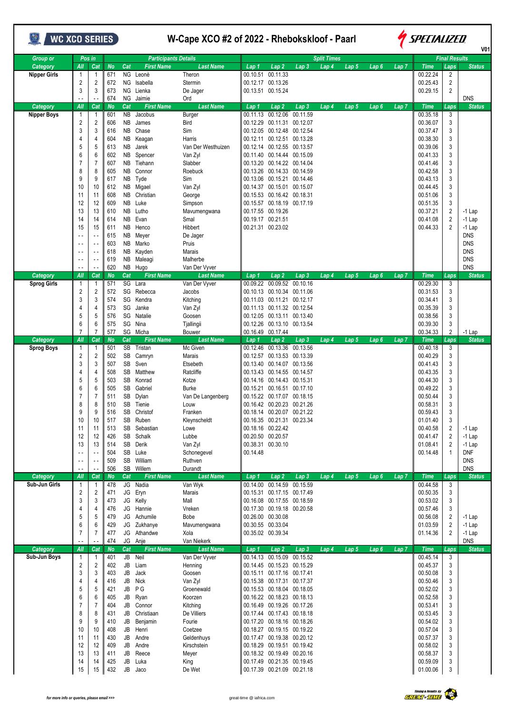| WC XCO SERIES                   |                                |                       |                  |                  |                               | W-Cape XCO #2 of 2022 - Rhebokskloof - Paarl | <i><b>SPECIALIZED</b></i><br>V01                                                                                                                               |                           |  |  |
|---------------------------------|--------------------------------|-----------------------|------------------|------------------|-------------------------------|----------------------------------------------|----------------------------------------------------------------------------------------------------------------------------------------------------------------|---------------------------|--|--|
| <b>Group or</b>                 |                                | Pos in                |                  |                  | <b>Participants Details</b>   |                                              | <b>Split Times</b><br><b>Final Results</b>                                                                                                                     |                           |  |  |
| Category<br><b>Nipper Girls</b> | All<br>-1                      | Cat<br>1              | <b>No</b><br>671 | Cat<br>ΝG        | <b>First Name</b><br>Leonè    | <b>Last Name</b><br>Theron                   | Lap <sub>5</sub><br><b>Time</b><br>Lap 2<br>Lap 3<br>Lap 4<br>Lap <sub>6</sub><br>Lap 7<br>Laps<br>Lap 1<br>$\overline{2}$<br>00.10.51<br>00.11.33<br>00.22.24 | <b>Status</b>             |  |  |
|                                 | $\overline{2}$                 | $\overline{2}$        | 672              | ΝG               | Isabella                      | Stermin                                      | $\overline{2}$<br>00.12.17 00.13.26<br>00.25.43                                                                                                                |                           |  |  |
|                                 | 3                              | 3                     | 673              | NG               | Lienka                        | De Jager                                     | $\overline{c}$<br>00.13.51 00.15.24<br>00.29.15                                                                                                                |                           |  |  |
|                                 |                                |                       | 674              |                  | NG Jaimie                     | Ord                                          |                                                                                                                                                                | <b>DNS</b>                |  |  |
| Category<br><b>Nipper Boys</b>  | All<br>-1                      | Cat<br>1              | No<br>601        | Cat<br><b>NB</b> | <b>First Name</b><br>Jacobus  | <b>Last Name</b><br>Burger                   | <b>Time</b><br>Lap 1<br>Lap 2<br>Lap3<br>Lap 5<br>Lap 6<br>Lap 7<br>Laps<br>Lap 4<br>00.12.06<br>00.11.13<br>00.11.59<br>00.35.18<br>3                         | <b>Status</b>             |  |  |
|                                 | $\overline{2}$                 | 2                     | 606              | ΝB               | James                         | Bird                                         | 3<br>00.11.31 00.12.07<br>00.36.07<br>00.12.29                                                                                                                 |                           |  |  |
|                                 | 3                              | 3                     | 616              | NΒ               | Chase                         | Sim                                          | 3<br>00.12.05 00.12.48 00.12.54<br>00.37.47                                                                                                                    |                           |  |  |
|                                 | 4                              | 4                     | 604              | NΒ               | Keagan                        | Harris                                       | 00.38.30<br>3<br>00.12.11 00.12.51 00.13.28                                                                                                                    |                           |  |  |
|                                 | 5<br>6                         | 5<br>6                | 613<br>602       | ΝB<br>NB         | Jarek<br>Spencer              | Van Der Westhuizen<br>Van Zyl                | 3<br>00.12.14 00.12.55 00.13.57<br>00.39.06<br>3<br>00.14.44 00.15.09<br>00.41.33<br>00.11.40                                                                  |                           |  |  |
|                                 | 7                              | $\overline{7}$        | 607              | NB               | Tiehann                       | Slabber                                      | 3<br>00.13.20 00.14.22 00.14.04<br>00.41.46                                                                                                                    |                           |  |  |
|                                 | 8                              | 8                     | 605              | NB.              | Connor                        | Roebuck                                      | 3<br>00.14.33 00.14.59<br>00.42.58<br>00.13.26                                                                                                                 |                           |  |  |
|                                 | 9                              | 9                     | 617              | NB               | Tyde                          | Sim                                          | 3<br>00.13.06 00.15.21 00.14.46<br>00.43.13                                                                                                                    |                           |  |  |
|                                 | 10                             | 10                    | 612              |                  | NB Migael                     | Van Zyl                                      | 3<br>00.14.37 00.15.01 00.15.07<br>00.44.45                                                                                                                    |                           |  |  |
|                                 | 11<br>12                       | 11<br>12              | 608<br>609       | NB<br>NB         | Christian<br>Luke             | George<br>Simpson                            | 3<br>00.15.53 00.16.42 00.18.31<br>00.51.06<br>3<br>00.15.57 00.18.19 00.17.19<br>00.51.35                                                                     |                           |  |  |
|                                 | 13                             | 13                    | 610              | NB               | Lutho                         | Mavumengwana                                 | $\overline{c}$<br>00.17.55 00.19.26<br>00.37.21                                                                                                                | $-1$ Lap                  |  |  |
|                                 | 14                             | 14                    | 614              | ΝB               | Evan                          | Smal                                         | 00.19.17 00.21.51<br>$\overline{2}$<br>00.41.08                                                                                                                | $-1$ Lap                  |  |  |
|                                 | 15                             | 15                    | 611              | NΒ               | Henco                         | Hibbert                                      | $\overline{2}$<br>00.21.31 00.23.02<br>00.44.33                                                                                                                | $-1$ Lap                  |  |  |
|                                 | $\sim$ $\sim$                  | $\sim$ $\sim$         | 615              | NΒ               | Meyer                         | De Jager                                     |                                                                                                                                                                | <b>DNS</b>                |  |  |
|                                 | $\sim$ $\sim$<br>$\sim$ $\sim$ | $\sim$ $\sim$<br>$ -$ | 603<br>618       | ΝB<br>NΒ         | Marko<br>Kayden               | Pruis<br>Marais                              |                                                                                                                                                                | <b>DNS</b><br><b>DNS</b>  |  |  |
|                                 | $\sim$ $\sim$                  | $\sim$ $\sim$         | 619              | NB               | Maleagi                       | Malherbe                                     |                                                                                                                                                                | <b>DNS</b>                |  |  |
|                                 |                                |                       | 620              |                  | NB Hugo                       | Van Der Vyver                                |                                                                                                                                                                | <b>DNS</b>                |  |  |
| Category                        | All                            | Cat                   | No               | Cat              | <b>First Name</b>             | <b>Last Name</b>                             | <b>Time</b><br>Lap 2<br>Lap 3<br>Lap 4<br>Lap 5<br>Laps<br>Lap 1<br>Lap 6<br>Lap 7                                                                             | <b>Status</b>             |  |  |
| Sprog Girls                     | -1<br>$\overline{\mathbf{c}}$  | 1<br>2                | 571<br>572       | SG               | SG Lara<br>Rebecca            | Van Der Vyver<br>Jacobs                      | 00.09.52<br>00.09.22<br>00.10.16<br>00.29.30<br>3<br>3<br>00.10.34<br>00.11.06<br>00.31.53<br>00.10.13                                                         |                           |  |  |
|                                 | 3                              | 3                     | 574              |                  | SG Kendra                     | Kitching                                     | 3<br>00.11.03 00.11.21 00.12.17<br>00.34.41                                                                                                                    |                           |  |  |
|                                 | 4                              | 4                     | 573              | SG               | Janke                         | Van Zyl                                      | 3<br>00.11.13 00.11.32 00.12.54<br>00.35.39                                                                                                                    |                           |  |  |
|                                 | 5                              | 5                     | 576              | SG               | Natalie                       | Goosen                                       | 3<br>00.12.05 00.13.11 00.13.40<br>00.38.56                                                                                                                    |                           |  |  |
|                                 | 6<br>$\overline{7}$            | 6                     | 575              | SG               | Nina                          | Tjallingii                                   | 3<br>00.12.26 00.13.10 00.13.54<br>00.39.30                                                                                                                    |                           |  |  |
| Category                        | All                            | 7<br>Cat              | 577<br><b>No</b> | Cat              | SG Micha<br><b>First Name</b> | Bouwer<br><b>Last Name</b>                   | $\overline{c}$<br>00.16.49 00.17.44<br>00.34.33<br>$\overline{Lap}2$<br>Lap 3<br>Lap 4<br>Lap 5<br>Lap 6<br>Lap 7<br><b>Time</b><br>Laps<br>Lap 1              | $-1$ Lap<br><b>Status</b> |  |  |
| <b>Sprog Boys</b>               | -1                             | 1                     | 501              | <b>SB</b>        | Tristan                       | Mc Given                                     | 00.13.36<br>00.13.56<br>00.12.46<br>00.40.18<br>3                                                                                                              |                           |  |  |
|                                 | 2                              | 2                     | 502              | SB               | Camryn                        | Marais                                       | 3<br>00.12.57 00.13.53 00.13.39<br>00.40.29                                                                                                                    |                           |  |  |
|                                 | 3                              | 3                     | 507              | SB               | Sven                          | Etsebeth                                     | 3<br>00.14.07 00.13.56<br>00.41.43<br>00.13.40                                                                                                                 |                           |  |  |
|                                 | 4<br>5                         | 4<br>5                | 508<br>503       | SB<br>SB         | Matthew<br>Konrad             | Ratcliffe<br>Kotze                           | 3<br>00.13.43 00.14.55 00.14.57<br>00.43.35<br>3<br>00.14.16 00.14.43 00.15.31<br>00.44.30                                                                     |                           |  |  |
|                                 | 6                              | 6                     | 505              | <b>SB</b>        | Gabriel                       | <b>Burke</b>                                 | 3<br>00.16.51 00.17.10<br>00.49.22<br>00.15.21                                                                                                                 |                           |  |  |
|                                 |                                | 7                     | 511              | SB               | Dylan                         | Van De Langenberg                            | 3<br>00.15.22 00.17.07 00.18.15<br>00.50.44                                                                                                                    |                           |  |  |
|                                 | 8                              | 8                     | 510              | SB               | Tienie                        | Louw                                         | 3<br>00.16.42 00.20.23 00.21.26<br>00.58.31                                                                                                                    |                           |  |  |
|                                 | 9<br>10                        | 9<br>10               | 516<br>517       | SB<br>SB         | Christof<br>Ruben             | Franken<br>Kleynscheldt                      | 00.59.43<br>00.18.14 00.20.07 00.21.22<br>3<br>3<br>00.16.35 00.21.31 00.23.34<br>01.01.40                                                                     |                           |  |  |
|                                 | 11                             | 11                    | 513              | SB               | Sebastian                     | Lowe                                         | $\overline{2}$<br>00.18.16 00.22.42<br>00.40.58                                                                                                                | $-1$ Lap                  |  |  |
|                                 | 12                             | 12                    | 426              |                  | SB Schalk                     | Lubbe                                        | $\overline{c}$<br>00.20.50 00.20.57<br>00.41.47                                                                                                                | $-1$ Lap                  |  |  |
|                                 | 13                             | 13                    | 514              | SB               | Derik                         | Van Zyl                                      | $\overline{2}$<br>00.38.31 00.30.10<br>01.08.41                                                                                                                | $-1$ Lap                  |  |  |
|                                 | $\sim$ $\sim$                  | $\sim$ $\sim$         | 504              | SB               | Luke                          | Schonegevel                                  | 00.14.48<br>00.14.48<br>$\mathbf{1}$                                                                                                                           | <b>DNF</b>                |  |  |
|                                 | $\sim$ $\sim$<br>. .           | $\sim$ $\sim$         | 509<br>506       | SB               | William<br>SB Willem          | Ruthven<br>Durandt                           |                                                                                                                                                                | <b>DNS</b><br><b>DNS</b>  |  |  |
| Category                        | All                            | Cat                   | <b>No</b>        | Cat              | <b>First Name</b>             | <b>Last Name</b>                             | <b>Time</b><br>Lap 1<br>Lap <sub>2</sub><br>Lap <sub>3</sub><br>Lap 5<br>Lap6<br>Lap <sub>7</sub><br>Lap 4<br>Laps                                             | <b>Status</b>             |  |  |
| Sub-Jun Girls                   | $\mathbf{1}$                   | $\mathbf{1}$          | 478              |                  | JG Nadia                      | Van Wyk                                      | 00.14.00 00.14.59 00.15.59<br>00.44.58<br>3                                                                                                                    |                           |  |  |
|                                 | $\overline{2}$                 | 2                     | 471              |                  | JG Eryn                       | Marais                                       | 00.50.35<br>3<br>00.15.31 00.17.15 00.17.49                                                                                                                    |                           |  |  |
|                                 | 3<br>4                         | 3<br>4                | 473<br>476       |                  | JG Kelly<br>JG Hannie         | Mall<br>Vreken                               | 00.16.08 00.17.55 00.18.59<br>00.53.02<br>3<br>00.17.30 00.19.18 00.20.58<br>3<br>00.57.46                                                                     |                           |  |  |
|                                 | 5                              | 5                     | 479              |                  | JG Achumile                   | Bobe                                         | $\overline{c}$<br>00.26.00 00.30.08<br>00.56.08                                                                                                                | $-1$ Lap                  |  |  |
|                                 | $6\phantom{1}6$                | 6                     | 429              |                  | JG Zukhanye                   | Mavumengwana                                 | 00.30.55 00.33.04<br>$\overline{2}$<br>01.03.59                                                                                                                | $-1$ Lap                  |  |  |
|                                 | $\overline{7}$                 | 7                     | 477              |                  | JG Athandwe                   | Xola                                         | $\overline{c}$<br>00.35.02 00.39.34<br>01.14.36                                                                                                                | $-1$ Lap                  |  |  |
|                                 |                                |                       | 474              |                  | JG Anje                       | Van Niekerk                                  |                                                                                                                                                                | <b>DNS</b>                |  |  |
| Category<br>Sub-Jun Boys        | All<br>$\mathbf 1$             | Cat<br>$\mathbf{1}$   | <b>No</b><br>401 | Cat              | <b>First Name</b><br>JB Neil  | <b>Last Name</b><br>Van Der Vyver            | <b>Time</b><br>Lap 1<br>Lap <sub>2</sub><br>Lap 5<br>Lap <sub>6</sub><br>$Lap$ $7$<br>Laps<br>Lap 3<br>Lap 4<br>00.14.13 00.15.09 00.15.52<br>3<br>00.45.14    | <b>Status</b>             |  |  |
|                                 | $\overline{2}$                 | $\overline{2}$        | 402              | JB               | Liam                          | Henning                                      | 00.14.45 00.15.23 00.15.29<br>00.45.37<br>3                                                                                                                    |                           |  |  |
|                                 | 3                              | 3                     | 403              | JB               | Jack                          | Goosen                                       | 3<br>00.15.11 00.17.16 00.17.41<br>00.50.08                                                                                                                    |                           |  |  |
|                                 | $\overline{4}$                 | 4                     | 416              | JB               | Nick                          | Van Zyl                                      | 3<br>00.15.38 00.17.31 00.17.37<br>00.50.46                                                                                                                    |                           |  |  |
|                                 | 5<br>6                         | 5<br>6                | 421<br>405       |                  | JB PG<br>JB Ryan              | Groenewald<br>Koorzen                        | 3<br>00.15.53 00.18.04 00.18.05<br>00.52.02<br>00.16.22 00.18.23 00.18.13<br>00.52.58<br>3                                                                     |                           |  |  |
|                                 | 7                              | 7                     | 404              |                  | JB Connor                     | Kitching                                     | 00.16.49 00.19.26 00.17.26<br>00.53.41<br>3                                                                                                                    |                           |  |  |
|                                 | 8                              | 8                     | 431              | JB               | Christiaan                    | De Villiers                                  | 00.53.45<br>3<br>00.17.44 00.17.43 00.18.18                                                                                                                    |                           |  |  |
|                                 | 9                              | 9                     | 410              | JB               | Benjamin                      | Fourie                                       | 00.17.20 00.18.16 00.18.26<br>3<br>00.54.02                                                                                                                    |                           |  |  |
|                                 | 10                             | 10                    | 408              |                  | JB Henri                      | Coetzee                                      | 3<br>00.18.27 00.19.15 00.19.22<br>00.57.04                                                                                                                    |                           |  |  |
|                                 | 11<br>12                       | 11<br>12              | 430<br>409       | JB<br>JB         | Andre<br>Andre                | Geldenhuys<br>Kirschstein                    | 00.17.47 00.19.38 00.20.12<br>00.57.37<br>3<br>00.58.02<br>3<br>00.18.29 00.19.51 00.19.42                                                                     |                           |  |  |
|                                 | 13                             | 13                    | 411              | JB               | Reece                         | Meyer                                        | 00.58.37<br>3<br>00.18.32 00.19.49 00.20.16                                                                                                                    |                           |  |  |
|                                 | 14                             | 14                    | 425              | JB               | Luka                          | King                                         | 00.17.49 00.21.35 00.19.45<br>00.59.09<br>3                                                                                                                    |                           |  |  |
|                                 | 15                             | 15                    | 432              |                  | JB Jaco                       | De Wet                                       | 3<br>00.17.39 00.21.09 00.21.18<br>01.00.06                                                                                                                    |                           |  |  |

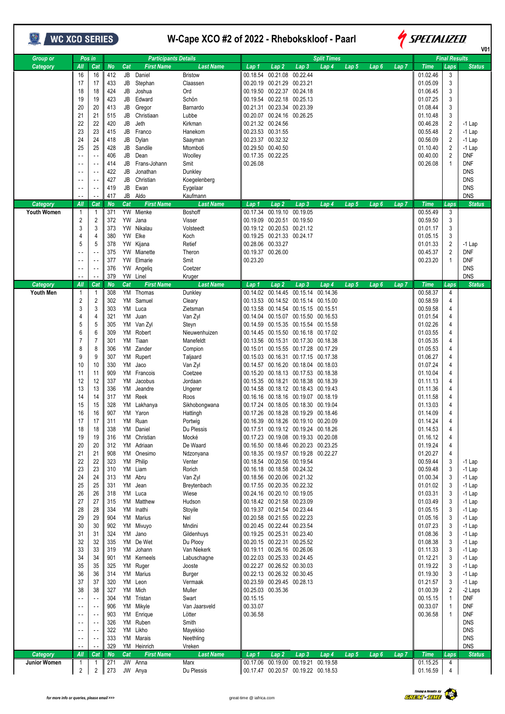| WC XCO SERIES         |                                                                                                                                                                                                                                                                              |                                                                                                                                                                                                                                                                                                          |                                                                                                                                                                                                                                                                                                    |                                                                                  |                                                                                                                                                                                                                                                                                                                                                                                                                                                                                                          | W-Cape XCO #2 of 2022 - Rhebokskloof - Paarl                                                                                                                                                                                                                                                                                                                                                                                                                                                      | <i><b>SPECIALIZED</b></i><br>V <sub>0</sub> 1                                                                                                                                                                                                                                                                                                                                                                                                                                                                                                                                                                                                                                                                                                                                                                                                                                                                                                                                                                                                                                                                                                                                                                                                                                                                                                                                                                                                                                                                                                                                                                                                                                                                                                                                                                           |                                                                                                                                                                                                                                                                                                                                                                                                                                                                                     |  |  |  |
|-----------------------|------------------------------------------------------------------------------------------------------------------------------------------------------------------------------------------------------------------------------------------------------------------------------|----------------------------------------------------------------------------------------------------------------------------------------------------------------------------------------------------------------------------------------------------------------------------------------------------------|----------------------------------------------------------------------------------------------------------------------------------------------------------------------------------------------------------------------------------------------------------------------------------------------------|----------------------------------------------------------------------------------|----------------------------------------------------------------------------------------------------------------------------------------------------------------------------------------------------------------------------------------------------------------------------------------------------------------------------------------------------------------------------------------------------------------------------------------------------------------------------------------------------------|---------------------------------------------------------------------------------------------------------------------------------------------------------------------------------------------------------------------------------------------------------------------------------------------------------------------------------------------------------------------------------------------------------------------------------------------------------------------------------------------------|-------------------------------------------------------------------------------------------------------------------------------------------------------------------------------------------------------------------------------------------------------------------------------------------------------------------------------------------------------------------------------------------------------------------------------------------------------------------------------------------------------------------------------------------------------------------------------------------------------------------------------------------------------------------------------------------------------------------------------------------------------------------------------------------------------------------------------------------------------------------------------------------------------------------------------------------------------------------------------------------------------------------------------------------------------------------------------------------------------------------------------------------------------------------------------------------------------------------------------------------------------------------------------------------------------------------------------------------------------------------------------------------------------------------------------------------------------------------------------------------------------------------------------------------------------------------------------------------------------------------------------------------------------------------------------------------------------------------------------------------------------------------------------------------------------------------------|-------------------------------------------------------------------------------------------------------------------------------------------------------------------------------------------------------------------------------------------------------------------------------------------------------------------------------------------------------------------------------------------------------------------------------------------------------------------------------------|--|--|--|
| <b>Group or</b>       |                                                                                                                                                                                                                                                                              | Pos in                                                                                                                                                                                                                                                                                                   |                                                                                                                                                                                                                                                                                                    |                                                                                  | <b>Participants Details</b>                                                                                                                                                                                                                                                                                                                                                                                                                                                                              |                                                                                                                                                                                                                                                                                                                                                                                                                                                                                                   | <b>Split Times</b>                                                                                                                                                                                                                                                                                                                                                                                                                                                                                                                                                                                                                                                                                                                                                                                                                                                                                                                                                                                                                                                                                                                                                                                                                                                                                                                                                                                                                                                                                                                                                                                                                                                                                                                                                                                                      | <b>Final Results</b>                                                                                                                                                                                                                                                                                                                                                                                                                                                                |  |  |  |
| Category              | All<br>16<br>17<br>18<br>19<br>20<br>21                                                                                                                                                                                                                                      | Cat<br>16<br>17<br>18<br>19<br>20<br>21                                                                                                                                                                                                                                                                  | <b>No</b><br>412<br>433<br>424<br>423<br>413<br>515                                                                                                                                                                                                                                                | Cat<br>JB<br>JB<br>JB<br>JB<br>JB<br>JB                                          | <b>First Name</b><br>Daniel<br>Stephan<br>Joshua<br>Edward<br>Gregor<br>Christiaan                                                                                                                                                                                                                                                                                                                                                                                                                       | <b>Last Name</b><br><b>Bristow</b><br>Claassen<br>Ord<br>Schön<br>Barnardo<br>Lubbe                                                                                                                                                                                                                                                                                                                                                                                                               | Lap 2<br>Lap 4<br>Lap <sub>5</sub><br>Lap <sub>7</sub><br><b>Time</b><br>Lap 3<br>Lap <sub>6</sub><br>Lap 1<br>00.18.54 00.21.08 00.22.44<br>01.02.46<br>00.20.19 00.21.29 00.23.21<br>01.05.09<br>00.19.50 00.22.37 00.24.18<br>01.06.45<br>00.19.54 00.22.18 00.25.13<br>01.07.25<br>00.21.31 00.23.34 00.23.39<br>01.08.44<br>00.20.07 00.24.16 00.26.25<br>01.10.48                                                                                                                                                                                                                                                                                                                                                                                                                                                                                                                                                                                                                                                                                                                                                                                                                                                                                                                                                                                                                                                                                                                                                                                                                                                                                                                                                                                                                                                 | Laps<br><b>Status</b><br>3<br>3<br>3<br>3<br>3<br>3                                                                                                                                                                                                                                                                                                                                                                                                                                 |  |  |  |
|                       | 22<br>23<br>24<br>25<br>$\sim$ $\sim$<br>$\sim$ $\sim$                                                                                                                                                                                                                       | 22<br>23<br>24<br>25<br>$\ddot{\phantom{1}}$<br>$\ddot{\phantom{1}}$<br>$\overline{\phantom{a}}$<br>$\sim$ $\sim$<br>$\sim$ $\sim$                                                                                                                                                                       | 420<br>415<br>418<br>428<br>406<br>414<br>422<br>427<br>419                                                                                                                                                                                                                                        | JB<br>JB<br>JB<br>JB<br>JB<br>JB<br>JB<br>JB<br>JB                               | Jeth<br>Franco<br>Dylan<br>Sandile<br>Dean<br>Frans-Johann<br>Jonathan<br>Christian<br>Ewan                                                                                                                                                                                                                                                                                                                                                                                                              | Kirkman<br>Hanekom<br>Saayman<br>Mtomboti<br>Woolley<br>Smit<br>Dunkley<br>Koegelenberg<br>Eygelaar                                                                                                                                                                                                                                                                                                                                                                                               | 00.21.32 00.24.56<br>00.46.28<br>00.23.53 00.31.55<br>00.55.48<br>00.23.37 00.32.32<br>00.56.09<br>00.29.50 00.40.50<br>01.10.40<br>00.17.35 00.22.25<br>00.40.00<br>00.26.08<br>00.26.08                                                                                                                                                                                                                                                                                                                                                                                                                                                                                                                                                                                                                                                                                                                                                                                                                                                                                                                                                                                                                                                                                                                                                                                                                                                                                                                                                                                                                                                                                                                                                                                                                               | $\overline{2}$<br>$-1$ Lap<br>2<br>$-1$ Lap<br>2<br>$-1$ Lap<br>$\overline{2}$<br>$-1$ Lap<br>2<br><b>DNF</b><br><b>DNF</b><br>1<br><b>DNS</b><br><b>DNS</b><br><b>DNS</b>                                                                                                                                                                                                                                                                                                          |  |  |  |
| Category              | All                                                                                                                                                                                                                                                                          | $\sim$ $\sim$<br>Cat                                                                                                                                                                                                                                                                                     | 417<br><b>No</b>                                                                                                                                                                                                                                                                                   | JB<br>Cat                                                                        | Aldo<br><b>First Name</b>                                                                                                                                                                                                                                                                                                                                                                                                                                                                                | Kaufmann<br>Last Name                                                                                                                                                                                                                                                                                                                                                                                                                                                                             | Lap <sub>2</sub><br><b>Time</b><br>Lap 1<br>Lap 3<br>Lap 4<br>Lap 5<br>Lap <sub>6</sub><br>Lap <sub>7</sub>                                                                                                                                                                                                                                                                                                                                                                                                                                                                                                                                                                                                                                                                                                                                                                                                                                                                                                                                                                                                                                                                                                                                                                                                                                                                                                                                                                                                                                                                                                                                                                                                                                                                                                             | <b>DNS</b><br><b>Status</b><br>Laps                                                                                                                                                                                                                                                                                                                                                                                                                                                 |  |  |  |
| <b>Youth Women</b>    | 1<br>$\overline{2}$<br>3<br>4<br>5<br>$\sim$ $\sim$                                                                                                                                                                                                                          | 1<br>2<br>3<br>4<br>5<br>$\sim$ $\sim$<br>$\sim$ $\sim$<br>$\sim$<br>$\sim$ $\sim$                                                                                                                                                                                                                       | 371<br>372<br>373<br>380<br>378<br>375<br>377<br>376<br>379                                                                                                                                                                                                                                        | YW<br>YW<br>YW<br><b>YW</b><br>YW                                                | Mienke<br>Jana<br>YW Nikalau<br>Elke<br>YW Kijana<br>Mianette<br>Elmarie<br>YW Angeliq<br>YW Linel                                                                                                                                                                                                                                                                                                                                                                                                       | Boshoff<br><b>Visser</b><br>Volsteedt<br>Koch<br>Retief<br>Theron<br>Smit<br>Coetzer<br>Kruger                                                                                                                                                                                                                                                                                                                                                                                                    | 00.17.34<br>00.19.10<br>00.19.05<br>00.55.49<br>00.19.09 00.20.51 00.19.50<br>00.59.50<br>00.19.12 00.20.53 00.21.12<br>01.01.17<br>00.19.25 00.21.33 00.24.17<br>01.05.15<br>00.28.06 00.33.27<br>01.01.33<br>00.19.37 00.26.00<br>00.45.37<br>00.23.20<br>00.23.20                                                                                                                                                                                                                                                                                                                                                                                                                                                                                                                                                                                                                                                                                                                                                                                                                                                                                                                                                                                                                                                                                                                                                                                                                                                                                                                                                                                                                                                                                                                                                    | 3<br>3<br>3<br>3<br>2<br>$-1$ Lap<br>2<br><b>DNF</b><br><b>DNF</b><br>1<br><b>DNS</b><br><b>DNS</b>                                                                                                                                                                                                                                                                                                                                                                                 |  |  |  |
| Category<br>Youth Men | All                                                                                                                                                                                                                                                                          | Cat<br>1                                                                                                                                                                                                                                                                                                 | <b>No</b><br>308                                                                                                                                                                                                                                                                                   | Cat<br>YM                                                                        | <b>First Name</b><br>Thomas                                                                                                                                                                                                                                                                                                                                                                                                                                                                              | <b>Last Name</b><br>Dunkley                                                                                                                                                                                                                                                                                                                                                                                                                                                                       | Lap <sub>2</sub><br>Lap 4<br><b>Time</b><br>Lap 1<br>Lap 3<br>Lap 5<br>Lap <sub>6</sub><br>Lap 7<br>00.14.02<br>00.14.45 00.15.14<br>00.14.36<br>00.58.37                                                                                                                                                                                                                                                                                                                                                                                                                                                                                                                                                                                                                                                                                                                                                                                                                                                                                                                                                                                                                                                                                                                                                                                                                                                                                                                                                                                                                                                                                                                                                                                                                                                               | <b>Status</b><br>Laps<br>4                                                                                                                                                                                                                                                                                                                                                                                                                                                          |  |  |  |
|                       | 3<br>4<br>5<br>6<br>8<br>9<br>10<br>11<br>12<br>13<br>14<br>15<br>16<br>17<br>18<br>19<br>20<br>21<br>22<br>23<br>24<br>25<br>26<br>27<br>28<br>29<br>30<br>31<br>32<br>33<br>34<br>35<br>36<br>37<br>38<br>$\sim$ $\sim$<br>$\sim$ $\sim$<br>$\sim$ $\sim$<br>$\sim$ $\sim$ | 3<br>4<br>5<br>6<br>7<br>8<br>9<br>10<br>11<br>12<br>13<br>14<br>15<br>16<br>17<br>18<br>19<br>20<br>21<br>22<br>23<br>24<br>25<br>26<br>27<br>28<br>29<br>30<br>31<br>32<br>33<br>34<br>35<br>36<br>37<br>38<br>÷.<br>÷.<br>$\overline{\phantom{a}}$<br>$\sim$ $\sim$<br>$\sim$ $\sim$<br>$\sim$ $\sim$ | 303<br>321<br>305<br>309<br>301<br>306<br>307<br>330<br>909<br>337<br>336<br>317<br>328<br>907<br>311<br>338<br>316<br>312<br>908<br>323<br>310<br>313<br>331<br>318<br>315<br>334<br>904<br>902<br>324<br>335<br>319<br>901<br>325<br>314<br>320<br>327<br>304<br>906<br>903<br>326<br>322<br>333 | YM<br>YM<br>YM<br>YM<br>YM<br>YM<br>YM<br>YM<br>YM<br>YM<br>YM<br>YM<br>YM<br>YM | YM Luca<br>Juan<br>Van Zyl<br>Robert<br>Tiaan<br>Zander<br>Rupert<br>Jaco<br>Francois<br>Jacobus<br>Jeandre<br>Reek<br>YM Lakhanya<br>YM Yaron<br>YM Ruan<br>Daniel<br>YM Christian<br>YM Adriaan<br>YM Onesimo<br>YM Philip<br>YM Liam<br>YM Abru<br>Jean<br>YM Luca<br>YM Matthew<br>YM Inathi<br>YM Marius<br>YM Mivuyo<br>YM Jano<br>YM De Wet<br>YM Johann<br>YM Kerneels<br>YM Ruger<br>YM Marius<br>YM Leon<br>YM Mich<br>YM Tristan<br>YM Mikyle<br>Enrique<br>YM Ruben<br>YM Likho<br>YM Marais | Zietsman<br>Van Zyl<br>Steyn<br>Nieuwenhuizen<br>Manefeldt<br>Compion<br>Taljaard<br>Van Zyl<br>Coetzee<br>Jordaan<br>Ungerer<br>Roos<br>Sikhobongwana<br>Hattingh<br>Portwig<br>Du Plessis<br>Mocké<br>De Waard<br>Ndzonyana<br>Venter<br>Rorich<br>Van Zyl<br>Breytenbach<br>Wiese<br>Hudson<br>Stoyile<br>Nel<br>Mndini<br>Gildenhuys<br>Du Plooy<br>Van Niekerk<br>Labuschagne<br>Jooste<br>Burger<br>Vermaak<br>Muller<br>Swart<br>Van Jaarsveld<br>Lötter<br>Smith<br>Mayekiso<br>Neethling | 00.13.58<br>00.14.54 00.15.15 00.15.51<br>00.59.58<br>00.14.04 00.15.07 00.15.50 00.16.53<br>01.01.54<br>00.14.59 00.15.35 00.15.54 00.15.58<br>01.02.26<br>00.14.45 00.15.50 00.16.18 00.17.02<br>01.03.55<br>00.13.56 00.15.31 00.17.30 00.18.38<br>01.05.35<br>00.15.55 00.17.28 00.17.29<br>00.15.01<br>01.05.53<br>00.15.03 00.16.31 00.17.15 00.17.38<br>01.06.27<br>00.14.57 00.16.20 00.18.04 00.18.03<br>01.07.24<br>00.15.20 00.18.13 00.17.53 00.18.38<br>01.10.04<br>00.15.35 00.18.21 00.18.38 00.18.39<br>01.11.13<br>00.14.58<br>00.18.12 00.18.43 00.19.43<br>01.11.36<br>00.16.16 00.18.16 00.19.07 00.18.19<br>01.11.58<br>01.13.03<br>00.17.24 00.18.05 00.18.30 00.19.04<br>00.17.26 00.18.28 00.19.29 00.18.46<br>01.14.09<br>00.16.39 00.18.26 00.19.10 00.20.09<br>01.14.24<br>00.17.51 00.19.12 00.19.24 00.18.26<br>01.14.53<br>00.17.23 00.19.08 00.19.33 00.20.08<br>01.16.12<br>00.16.50 00.18.46 00.20.23 00.23.25<br>01.19.24<br>00.18.35 00.19.57 00.19.28 00.22.27<br>01.20.27<br>00.18.54 00.20.56 00.19.54<br>00.59.44<br>00.16.18 00.18.58 00.24.32<br>00.59.48<br>00.18.56 00.20.06 00.21.32<br>01.00.34<br>00.17.55 00.20.35 00.22.32<br>01.01.02<br>00.24.16 00.20.10 00.19.05<br>01.03.31<br>00.18.42 00.21.58 00.23.09<br>01.03.49<br>00.19.37 00.21.54 00.23.44<br>01.05.15<br>00.20.58 00.21.55 00.22.23<br>01.05.16<br>00.20.45 00.22.44 00.23.54<br>01.07.23<br>00.19.25 00.25.31 00.23.40<br>01.08.36<br>00.20.15 00.22.31 00.25.52<br>01.08.38<br>00.19.11 00.26.16 00.26.06<br>01.11.33<br>00.22.03 00.25.33 00.24.45<br>01.12.21<br>00.22.27 00.26.52 00.30.03<br>01.19.22<br>00.22.13 00.26.32 00.30.45<br>01.19.30<br>00.23.59 00.29.45 00.28.13<br>01.21.57<br>00.25.03 00.35.36<br>01.00.39<br>00.15.15<br>00.15.15<br>00.33.07<br>00.33.07<br>00.36.58<br>00.36.58 | 4<br>4<br>4<br>4<br>4<br>4<br>4<br>4<br>4<br>4<br>4<br>4<br>4<br>4<br>4<br>4<br>4<br>4<br>4<br>3<br>$-1$ Lap<br>3<br>$-1$ Lap<br>3<br>$-1$ Lap<br>3<br>$-1$ Lap<br>3<br>$-1$ Lap<br>3<br>$-1$ Lap<br>3<br>$-1$ Lap<br>3<br>$-1$ Lap<br>3<br>$-1$ Lap<br>$-1$ Lap<br>3<br>3<br>$-1$ Lap<br>3<br>$-1$ Lap<br>$-1$ Lap<br>3<br>3<br>$-1$ Lap<br>3<br>$-1$ Lap<br>3<br>$-1$ Lap<br>-2 Laps<br>DNF<br>1<br><b>DNF</b><br>1<br><b>DNF</b><br>-1<br><b>DNS</b><br><b>DNS</b><br><b>DNS</b> |  |  |  |
| Category              | All                                                                                                                                                                                                                                                                          | $\sim$ $\sim$<br>Cat                                                                                                                                                                                                                                                                                     | 329<br>No                                                                                                                                                                                                                                                                                          | Cat                                                                              | YM Heinrich<br><b>First Name</b>                                                                                                                                                                                                                                                                                                                                                                                                                                                                         | Vreken<br><b>Last Name</b>                                                                                                                                                                                                                                                                                                                                                                                                                                                                        | Lap2<br>Lap 5<br><b>Time</b><br>Lap 1<br>Lap 3<br>Lap 4<br>Lap6<br>Lap <sub>7</sub>                                                                                                                                                                                                                                                                                                                                                                                                                                                                                                                                                                                                                                                                                                                                                                                                                                                                                                                                                                                                                                                                                                                                                                                                                                                                                                                                                                                                                                                                                                                                                                                                                                                                                                                                     | <b>DNS</b><br>Laps<br><b>Status</b>                                                                                                                                                                                                                                                                                                                                                                                                                                                 |  |  |  |
| Junior Women          | 1<br>$\overline{2}$                                                                                                                                                                                                                                                          | $\mathbf{1}$<br>$\overline{2}$                                                                                                                                                                                                                                                                           | 271<br>273                                                                                                                                                                                                                                                                                         |                                                                                  | JW Anna<br>JW Anya                                                                                                                                                                                                                                                                                                                                                                                                                                                                                       | Marx<br>Du Plessis                                                                                                                                                                                                                                                                                                                                                                                                                                                                                | 00.17.06 00.19.00 00.19.21<br>00.19.58<br>01.15.25<br>00.17.47 00.20.57 00.19.22 00.18.53<br>01.16.59                                                                                                                                                                                                                                                                                                                                                                                                                                                                                                                                                                                                                                                                                                                                                                                                                                                                                                                                                                                                                                                                                                                                                                                                                                                                                                                                                                                                                                                                                                                                                                                                                                                                                                                   | 4<br>4                                                                                                                                                                                                                                                                                                                                                                                                                                                                              |  |  |  |

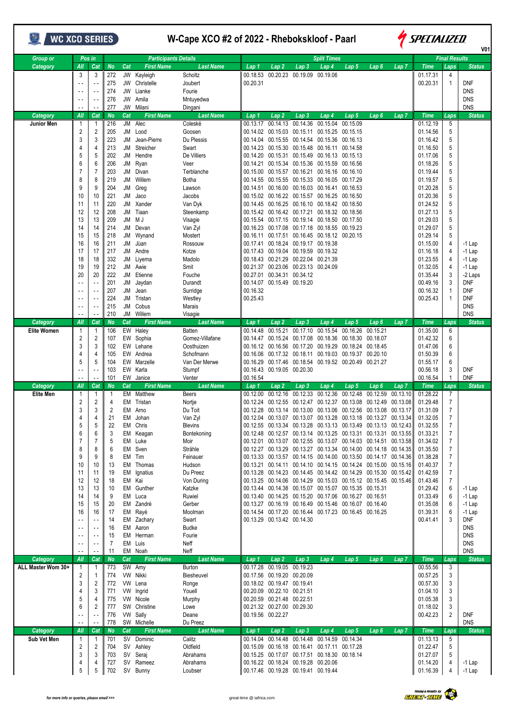| WC XCO SERIES      |                                |                                             |                  |           |                                  |                             | W-Cape XCO #2 of 2022 - Rhebokskloof - Paarl |                                                                                                                                              |                                                |                                                       |                      |                  |                  | SPECIALIZED<br>V01      |                                  |                             |  |
|--------------------|--------------------------------|---------------------------------------------|------------------|-----------|----------------------------------|-----------------------------|----------------------------------------------|----------------------------------------------------------------------------------------------------------------------------------------------|------------------------------------------------|-------------------------------------------------------|----------------------|------------------|------------------|-------------------------|----------------------------------|-----------------------------|--|
| <b>Group or</b>    |                                | Pos in                                      |                  |           | <b>Participants Details</b>      |                             |                                              |                                                                                                                                              |                                                | <b>Split Times</b>                                    |                      |                  |                  |                         | <b>Final Results</b>             |                             |  |
| Category           | All<br>3                       | Cat<br>3                                    | <b>No</b><br>272 | Cat       | <b>First Name</b><br>JW Kayleigh | <b>Last Name</b><br>Scholtz | Lap 1<br>00.18.53                            | Lap 2                                                                                                                                        | Lap <sub>3</sub><br>00.20.23 00.19.09 00.19.06 | Lap 4                                                 | Lap 5                | Lap <sub>6</sub> | Lap <sub>7</sub> | <b>Time</b><br>01.17.31 | Laps<br>4                        | <b>Status</b>               |  |
|                    | $\sim$ $\sim$                  | $\overline{\phantom{a}}$ .                  | 275              | JW        | Christelle                       | Joubert                     | 00.20.31                                     |                                                                                                                                              |                                                |                                                       |                      |                  |                  | 00.20.31                | $\mathbf{1}$                     | <b>DNF</b>                  |  |
|                    | $\sim$ $\sim$                  | $\sim$ .                                    | 274<br>276       | JW<br>JW  | Lianke<br>Amila                  | Fourie                      |                                              |                                                                                                                                              |                                                |                                                       |                      |                  |                  |                         |                                  | <b>DNS</b><br><b>DNS</b>    |  |
|                    |                                | $\sim$ $\sim$<br>$\overline{\phantom{a}}$ . | 277              |           | JW Milani                        | Mntuyedwa<br>Dingani        |                                              |                                                                                                                                              |                                                |                                                       |                      |                  |                  |                         |                                  | <b>DNS</b>                  |  |
| Category           | All                            | Cat                                         | <b>No</b>        | Cat       | <b>First Name</b>                | <b>Last Name</b>            | Lap 1                                        | Lap 2                                                                                                                                        | Lap 3                                          | Lap 4                                                 | Lap 5                | Lap 6            | Lap 7            | <b>Time</b>             | Laps                             | <b>Status</b>               |  |
| Junior Men         | -1<br>$\overline{2}$           | -1<br>2                                     | 216<br>205       | JM<br>JM  | Alec<br>Lood                     | Coleské<br>Goosen           | 00.13.17                                     | 00.14.02 00.15.03 00.15.11                                                                                                                   | 00.14.13 00.14.36                              | 00.15.04<br>00.15.25                                  | 00.15.09<br>00.15.15 |                  |                  | 01.12.19<br>01.14.56    | 5<br>5                           |                             |  |
|                    | 3                              | 3                                           | 223              | JM        | Jean-Pierre                      | Du Plessis                  | 00.14.04                                     |                                                                                                                                              |                                                | 00.15.55 00.14.54 00.15.36                            | 00.16.13             |                  |                  | 01.16.42                | 5                                |                             |  |
|                    | 4                              | 4                                           | 213              | JМ        | Streicher                        | Swart                       |                                              | 00.14.23 00.15.30                                                                                                                            |                                                | 00.15.48 00.16.11                                     | 00.14.58             |                  |                  | 01.16.50                | 5                                |                             |  |
|                    | 5<br>6                         | 5<br>6                                      | 202<br>206       | JМ<br>JM  | Hendre<br>Ryan                   | De Villiers<br>Veer         | 00.14.20<br>00.14.21                         |                                                                                                                                              | 00.15.34 00.15.36                              | 00.15.31 00.15.49 00.16.13 00.15.13<br>00.15.59       | 00.16.56             |                  |                  | 01.17.06<br>01.18.26    | 5<br>5                           |                             |  |
|                    | $\overline{7}$                 | $\overline{7}$                              | 203              | JM        | Divan                            | Terblanche                  |                                              | 00.15.00 00.15.57 00.16.21 00.16.16 00.16.10                                                                                                 |                                                |                                                       |                      |                  |                  | 01.19.44                | 5                                |                             |  |
|                    | 8                              | 8                                           | 219              | JМ        | Willem                           | Botha                       | 00.14.55                                     |                                                                                                                                              |                                                | 00.15.55 00.15.33 00.16.05 00.17.29                   |                      |                  |                  | 01.19.57                | 5                                |                             |  |
|                    | 9<br>10                        | 9<br>10                                     | 204<br>221       | JM<br>JМ  | Greg<br>Jaco                     | Lawson<br>Jacobs            |                                              | 00.14.51  00.16.00  00.16.03  00.16.41  00.16.53<br>00.15.02  00.16.22  00.15.57  00.16.25  00.16.50                                         |                                                |                                                       |                      |                  |                  | 01.20.28<br>01.20.36    | 5<br>5                           |                             |  |
|                    | 11                             | 11                                          | 220              | JМ        | Xander                           | Van Dyk                     |                                              | 00.14.45  00.16.25  00.16.10  00.18.42  00.18.50                                                                                             |                                                |                                                       |                      |                  |                  | 01.24.52                | 5                                |                             |  |
|                    | 12                             | 12                                          | 208              | JМ        | Tiaan                            | Steenkamp                   |                                              | 00.15.42 00.16.42 00.17.21                                                                                                                   |                                                | 00.18.32 00.18.56                                     |                      |                  |                  | 01.27.13                | 5                                |                             |  |
|                    | 13<br>14                       | 13<br>14                                    | 209<br>214       | JM<br>JM  | M J<br>Devan                     | Visagie<br>Van Zyl          | 00.15.54                                     | 00.16.23 00.17.08 00.17.18 00.18.55 00.19.23                                                                                                 |                                                | 00.17.15 00.19.14 00.18.50                            | 00.17.50             |                  |                  | 01.29.03<br>01.29.07    | 5<br>5                           |                             |  |
|                    | 15                             | 15                                          | 218              | JM        | Wynand                           | Mostert                     | 00.16.11                                     |                                                                                                                                              |                                                | 00.17.51 00.16.45 00.18.12 00.20.15                   |                      |                  |                  | 01.29.14                | 5                                |                             |  |
|                    | 16                             | 16                                          | 211              | JМ        | Jùan                             | Rossouw                     |                                              | 00.17.41 00.18.24 00.19.17 00.19.38                                                                                                          |                                                |                                                       |                      |                  |                  | 01.15.00                | 4                                | $-1$ Lap                    |  |
|                    | 17<br>18                       | 17<br>18                                    | 217<br>332       | JM<br>JМ  | Andre<br>Liyema                  | Kotze<br>Madolo             |                                              | 00.17.43 00.19.04 00.19.59 00.19.32<br>00.18.43 00.21.29 00.22.04 00.21.39                                                                   |                                                |                                                       |                      |                  |                  | 01.16.18<br>01.23.55    | 4<br>4                           | $-1$ Lap<br>$-1$ Lap        |  |
|                    | 19                             | 19                                          | 212              | JM        | Awie                             | Smit                        |                                              | 00.21.37 00.23.06 00.23.13 00.24.09                                                                                                          |                                                |                                                       |                      |                  |                  | 01.32.05                | 4                                | $-1$ Lap                    |  |
|                    | 20                             | 20                                          | 222              | JМ        | Etienne                          | Fouche                      |                                              | 00.27.01 00.34.31 00.34.12                                                                                                                   |                                                |                                                       |                      |                  |                  | 01.35.44                | 3                                | -2 Laps                     |  |
|                    | $\sim$ .<br>$\sim$ $\sim$      | $\sim$ .<br>$\overline{\phantom{a}}$        | 201<br>207       | JM<br>JМ  | Jaydan<br>Jean                   | Durandt<br>Surridge         | 00.16.32                                     | 00.14.07 00.15.49 00.19.20                                                                                                                   |                                                |                                                       |                      |                  |                  | 00.49.16<br>00.16.32    | 3<br>$\mathbf{1}$                | DNF<br><b>DNF</b>           |  |
|                    | $\sim$ $\sim$                  | $\overline{\phantom{a}}$                    | 224              | JМ        | Tristan                          | Westley                     | 00.25.43                                     |                                                                                                                                              |                                                |                                                       |                      |                  |                  | 00.25.43                | $\mathbf{1}$                     | <b>DNF</b>                  |  |
|                    | $\sim$ $\sim$                  |                                             | 215              | JM        | Cobus                            | Marais                      |                                              |                                                                                                                                              |                                                |                                                       |                      |                  |                  |                         |                                  | <b>DNS</b>                  |  |
| Category           | All                            | $\overline{\phantom{a}}$ .<br>Cat           | 210<br>No        | JM<br>Cat | Willem<br><b>First Name</b>      | Visagie<br><b>Last Name</b> | Lap 1                                        | Lap 2                                                                                                                                        | Lap 3                                          | Lap 4                                                 | Lap 5                | Lap 6            | Lap <sub>7</sub> | <b>Time</b>             | Laps                             | <b>DNS</b><br><b>Status</b> |  |
| <b>Elite Women</b> | -1                             | $\mathbf 1$                                 | 106              | EW        | Haley                            | <b>Batten</b>               | 00.14.48                                     | 00.15.21                                                                                                                                     | 00.17.10                                       | 00.15.54                                              | 00.16.26             | 00.15.21         |                  | 01.35.00                | 6                                |                             |  |
|                    | $\overline{2}$                 | 2                                           | 107              | EW        | Sophia                           | Gomez-Villafane             | 00.14.47                                     | 00.15.24                                                                                                                                     | 00.17.08                                       | 00.18.36 00.18.30                                     |                      | 00.18.07         |                  | 01.42.32                | 6                                |                             |  |
|                    | 3<br>4                         | 3<br>4                                      | 102<br>105       | EW        | Lehane<br>EW Andrea              | Oosthuizen<br>Schofmann     |                                              | 00.16.12 00.16.56 00.17.20<br>00.16.06  00.17.32  00.18.11  00.19.03  00.19.37  00.20.10                                                     |                                                | 00.19.29                                              | 00.18.24             | 00.18.45         |                  | 01.47.06<br>01.50.39    | 6<br>6                           |                             |  |
|                    | 5                              | 5                                           | 104              | EW        | Marzelle                         | Van Der Merwe               | 00.16.29                                     |                                                                                                                                              |                                                | 00.17.46 00.18.54 00.19.52 00.20.49 00.21.27          |                      |                  |                  | 01.55.17                | 6                                |                             |  |
|                    | $\overline{\phantom{a}}$       | $\overline{\phantom{a}}$                    | 103<br>101       |           | EW Karla                         | Stumpf                      |                                              | 00.16.43 00.19.05 00.20.30                                                                                                                   |                                                |                                                       |                      |                  |                  | 00.56.18                | 3                                | DNF<br>DNF                  |  |
| Category           | All                            | Cat                                         | No               | Cat       | EW Janice<br><b>First Name</b>   | Venter<br><b>Last Name</b>  | 00.16.54<br>Lap 1                            | Lap 2                                                                                                                                        | Lap 3                                          | Lap 4                                                 | Lap 5                | Lap 6            | Lap 7            | 00.16.54<br>Time        | 1<br>Laps                        | <b>Status</b>               |  |
| <b>Elite Men</b>   | -1                             | -1                                          | -1               |           | EM Matthew                       | <b>Beers</b>                | 00.12.00                                     |                                                                                                                                              |                                                | 00.12.16 00.12.33 00.12.36 00.12.48 00.12.59 00.13.10 |                      |                  |                  | 01.28.22                | $\overline{7}$                   |                             |  |
|                    | $\overline{2}$<br>3            | <sup>o</sup><br>3                           | $\overline{2}$   |           | EM Tristan<br>EM Arno            | Nortje<br>Du Toit           |                                              | 00.12.24 00.12.55 00.12.47 00.12.37 00.13.08 00.12.49 00.13.08<br>00.12.28 00.13.14 00.13.00 00.13.06 00.12.56 00.13.08 00.13.17             |                                                |                                                       |                      |                  |                  | 01.29.48<br>01.31.09    | $\overline{7}$<br>$\overline{7}$ |                             |  |
|                    | 4                              | 4                                           | 21               |           | EM Johan                         | Van Zyl                     |                                              | 00.12.04  00.13.07  00.13.07  00.13.28  00.13.18  00.13.27  00.13.34                                                                         |                                                |                                                       |                      |                  |                  | 01.32.05                | 7                                |                             |  |
|                    | 5                              | 5                                           | 22               |           | EM Chris                         | Blevins                     |                                              | 00.12.55 00.13.34 00.13.28 00.13.13 00.13.49 00.13.13 00.12.43                                                                               |                                                |                                                       |                      |                  |                  | 01.32.55                | 7                                |                             |  |
|                    | 6<br>7                         | 6<br>$\overline{7}$                         | 3<br>5           |           | EM Keagan<br>EM Luke             | Bontekoning<br>Moir         |                                              | 00.12.48  00.12.57  00.13.14  00.13.25  00.13.31  00.13.31  00.13.55<br>00.12.01  00.13.07  00.12.55  00.13.07  00.14.03  00.14.51  00.13.58 |                                                |                                                       |                      |                  |                  | 01.33.21<br>01.34.02    | $\overline{7}$<br>7              |                             |  |
|                    | 8                              | 8                                           | 6                |           | EM Sven                          | Strähle                     |                                              | 00.12.27 00.13.29 00.13.27 00.13.34 00.14.00 00.14.18 00.14.35                                                                               |                                                |                                                       |                      |                  |                  | 01.35.50                | $\overline{7}$                   |                             |  |
|                    | 9                              | 9                                           | 8                |           | EM Tim                           | Feinauer                    |                                              | 00.13.33  00.13.57  00.14.15  00.14.00  00.13.50  00.14.17  00.14.36                                                                         |                                                |                                                       |                      |                  |                  | 01.38.28                | 7                                |                             |  |
|                    | 10<br>11                       | 10<br>11                                    | 13<br>19         |           | EM Thomas<br>EM Ignatius         | Hudson<br>Du Preez          |                                              | 00.13.21  00.14.11  00.14.10  00.14.15  00.14.24  00.15.00  00.15.16<br>00.13.28 00.14.23 00.14.45 00.14.42 00.14.29 00.15.30 00.15.42       |                                                |                                                       |                      |                  |                  | 01.40.37<br>01.42.59    | $\overline{7}$<br>7              |                             |  |
|                    | 12                             | 12                                          | 18               |           | EM Kai                           | Von During                  |                                              | 00.13.25  00.14.06  00.14.29  00.15.03  00.15.12  00.15.45  00.15.46                                                                         |                                                |                                                       |                      |                  |                  | 01.43.46                | $\overline{7}$                   |                             |  |
|                    | 13                             | 13                                          | 10               |           | EM Gunther                       | Katzke                      |                                              | 00.13.44 00.14.38 00.15.07 00.15.07 00.15.35 00.15.31                                                                                        |                                                |                                                       |                      |                  |                  | 01.29.42                | 6                                | $-1$ Lap                    |  |
|                    | 14<br>15                       | 14<br>15                                    | 9<br>20          |           | EM Luca<br>EM Zandré             | Ruwiel<br>Gerber            |                                              | 00.13.40  00.14.25  00.15.20  00.17.06  00.16.27  00.16.51<br>00.13.27 00.16.19 00.16.49 00.15.46 00.16.07 00.16.40                          |                                                |                                                       |                      |                  |                  | 01.33.49<br>01.35.08    | 6<br>6                           | $-1$ Lap<br>$-1$ Lap        |  |
|                    | 16                             | 16                                          | 17               |           | EM Rayé                          | Moolman                     |                                              | 00.14.54 00.17.20 00.16.44 00.17.23 00.16.45 00.16.25                                                                                        |                                                |                                                       |                      |                  |                  | 01.39.31                | 6                                | $-1$ Lap                    |  |
|                    | $\sim$ $\sim$                  | $\sim$ $\sim$                               | 14<br>16         |           | EM Zachary                       | Swart                       |                                              | 00.13.29 00.13.42 00.14.30                                                                                                                   |                                                |                                                       |                      |                  |                  | 00.41.41                | 3                                | <b>DNF</b><br><b>DNS</b>    |  |
|                    | $\sim$ $\sim$<br>$\sim$ $\sim$ | $\sim$<br>$\sim$ $\sim$                     | 15               |           | EM Aaron<br>EM Herman            | Budke<br>Fourie             |                                              |                                                                                                                                              |                                                |                                                       |                      |                  |                  |                         |                                  | <b>DNS</b>                  |  |
|                    | $\sim$ $\sim$                  | $\sim$ $\sim$                               | 7                |           | EM Luis                          | Neff                        |                                              |                                                                                                                                              |                                                |                                                       |                      |                  |                  |                         |                                  | <b>DNS</b>                  |  |
| Category           | All                            | Cat                                         | 11<br><b>No</b>  | Cat       | EM Noah<br><b>First Name</b>     | Neff<br><b>Last Name</b>    | Lap 1                                        | Lap <sub>2</sub>                                                                                                                             | Lap <sub>3</sub>                               | Lap 4                                                 | Lap 5                | Lap <sub>6</sub> | Lap <sub>7</sub> | <b>Time</b>             | Laps                             | <b>DNS</b><br><b>Status</b> |  |
| ALL Master Wom 30+ | $\mathbf{1}$                   | -1                                          | 773              |           | SW Amy                           | Burton                      |                                              | 00.17.28 00.19.05 00.19.23                                                                                                                   |                                                |                                                       |                      |                  |                  | 00.55.56                | 3                                |                             |  |
|                    | 2                              | -1                                          | 774              |           | VW Nikki                         | Biesheuvel                  |                                              | 00.17.56 00.19.20 00.20.09                                                                                                                   |                                                |                                                       |                      |                  |                  | 00.57.25                | 3                                |                             |  |
|                    | 3<br>4                         | 2<br>3                                      | 772<br>771       |           | VW Lena<br>VW Ingrid             | Ronge<br>Youell             |                                              | 00.18.02 00.19.47 00.19.41<br>00.20.09 00.22.10 00.21.51                                                                                     |                                                |                                                       |                      |                  |                  | 00.57.30<br>01.04.10    | 3<br>3                           |                             |  |
|                    | 5                              | 4                                           | 775              |           | VW Nicole                        | Murphy                      |                                              | 00.20.59 00.21.48 00.22.51                                                                                                                   |                                                |                                                       |                      |                  |                  | 01.05.38                | 3                                |                             |  |
|                    | 6                              | 2                                           | 777              |           | SW Christine                     | Lowe                        |                                              | 00.21.32 00.27.00 00.29.30                                                                                                                   |                                                |                                                       |                      |                  |                  | 01.18.02                | 3                                |                             |  |
|                    | $\sim$ $\sim$                  | $\overline{\phantom{a}}$                    | 776<br>778       |           | VW Sally<br>SW Michelle          | Deane<br>Du Preez           |                                              | 00.19.56 00.22.27                                                                                                                            |                                                |                                                       |                      |                  |                  | 00.42.23                | $\overline{2}$                   | <b>DNF</b><br><b>DNS</b>    |  |
| Category           | All                            | Cat                                         | <b>No</b>        | Cat       | <b>First Name</b>                | <b>Last Name</b>            | Lap 1                                        | Lap 2                                                                                                                                        | Lap <sub>3</sub>                               | Lap 4                                                 | Lap 5                | Lap <sub>6</sub> | Lap <sub>7</sub> | <b>Time</b>             | Laps                             | <b>Status</b>               |  |
| Sub Vet Men        | 1                              | -1                                          | 701              |           | SV Dominic                       | Calitz                      |                                              | 00.14.04 00.14.48 00.14.48 00.14.59 00.14.34                                                                                                 |                                                |                                                       |                      |                  |                  | 01.13.13                | 5                                |                             |  |
|                    | 2<br>3                         | 2<br>3                                      | 704<br>703       |           | SV Ashley<br>SV Seraj            | Oldfield<br>Abrahams        |                                              | 00.15.09  00.16.18  00.16.41  00.17.11  00.17.28<br>00.15.25 00.17.07 00.17.51 00.18.30 00.18.14                                             |                                                |                                                       |                      |                  |                  | 01.22.47<br>01.27.07    | 5<br>5                           |                             |  |
|                    | 4                              | 4                                           | 727              |           | SV Rameez                        | Abrahams                    |                                              | 00.16.22 00.18.24 00.19.28 00.20.06                                                                                                          |                                                |                                                       |                      |                  |                  | 01.14.20                | 4                                | $-1$ Lap                    |  |
|                    | 5                              | 5                                           | 702              |           | SV Bunny                         | Loubser                     |                                              | 00.17.46 00.19.28 00.19.41 00.19.44                                                                                                          |                                                |                                                       |                      |                  |                  | 01.16.39                |                                  | $-1$ Lap                    |  |

 $\mathbf{r}$